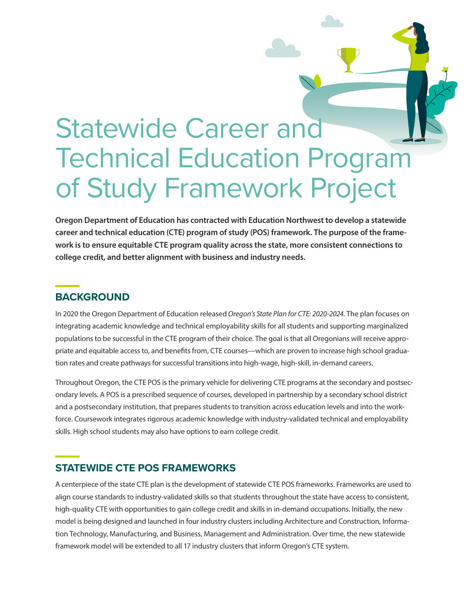# Statewide Career and Technical Education Program of Study Framework Project

**Oregon Department of Education has contracted with Education Northwest to develop a statewide career and technical education (CTE) program of study (POS) framework. The purpose of the framework is to ensure equitable CTE program quality across the state, more consistent connections to college credit, and better alignment with business and industry needs.**

### **BACKGROUND**

In 2020 the Oregon Department of Education released *Oregon's State Plan for CTE: 2020-2024.* The plan focuses on integrating academic knowledge and technical employability skills for all students and supporting marginalized populations to be successful in the CTE program of their choice. The goal is that all Oregonians will receive appropriate and equitable access to, and benefits from, CTE courses—which are proven to increase high school graduation rates and create pathways for successful transitions into high-wage, high-skill, in-demand careers.

Throughout Oregon, the CTE POS is the primary vehicle for delivering CTE programs at the secondary and postsecondary levels. A POS is a prescribed sequence of courses, developed in partnership by a secondary school district and a postsecondary institution, that prepares students to transition across education levels and into the workforce. Coursework integrates rigorous academic knowledge with industry-validated technical and employability skills. High school students may also have options to earn college credit.

# **STATEWIDE CTE POS FRAMEWORKS**

A centerpiece of the state CTE plan is the development of statewide CTE POS frameworks. Frameworks are used to align course standards to industry-validated skills so that students throughout the state have access to consistent, high-quality CTE with opportunities to gain college credit and skills in in-demand occupations. Initially, the new model is being designed and launched in four industry clusters including Architecture and Construction, Information Technology, Manufacturing, and Business, Management and Administration. Over time, the new statewide framework model will be extended to all 17 industry clusters that inform Oregon's CTE system.